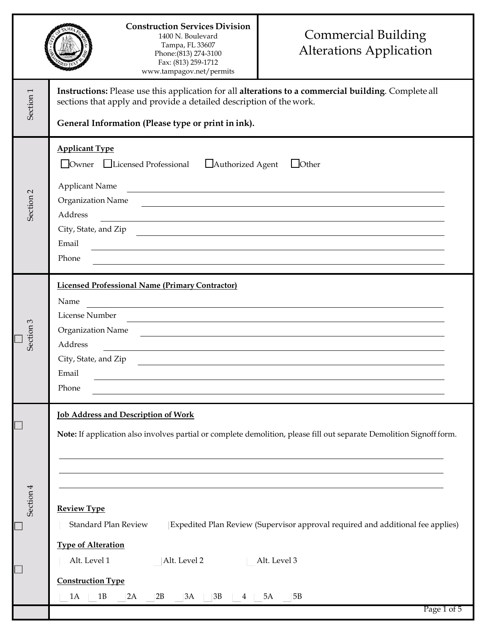| Instructions: Please use this application for all alterations to a commercial building. Complete all<br>Section <sub>1</sub><br>sections that apply and provide a detailed description of the work.<br>General Information (Please type or print in ink).<br><b>Applicant Type</b><br>Owner Licensed Professional<br>Authorized Agent<br>$\Box$ Other<br><b>Applicant Name</b><br>Section <sub>2</sub><br>Organization Name |  |
|-----------------------------------------------------------------------------------------------------------------------------------------------------------------------------------------------------------------------------------------------------------------------------------------------------------------------------------------------------------------------------------------------------------------------------|--|
|                                                                                                                                                                                                                                                                                                                                                                                                                             |  |
| Address<br>City, State, and Zip<br><u> 1980 - Jan James James James James James James James James James James James James James James James James J</u><br>Email<br>Phone                                                                                                                                                                                                                                                   |  |
| <b>Licensed Professional Name (Primary Contractor)</b><br>Name<br>License Number<br>Section 3<br>Organization Name<br>Address<br>City, State, and Zip<br>Email<br>Phone                                                                                                                                                                                                                                                     |  |
| <b>Job Address and Description of Work</b><br>Note: If application also involves partial or complete demolition, please fill out separate Demolition Signoff form.<br>Section 4<br><b>Review Type</b>                                                                                                                                                                                                                       |  |
| Standard Plan Review<br>Expedited Plan Review (Supervisor approval required and additional fee applies)<br><b>Type of Alteration</b><br>Alt. Level 2<br>Alt. Level 3<br>Alt. Level 1<br>$\Box$<br><b>Construction Type</b><br>1A<br>1B<br>2B<br>3B<br>5B<br>2A<br>3A<br>5A<br>4<br>Page 1 of 5                                                                                                                              |  |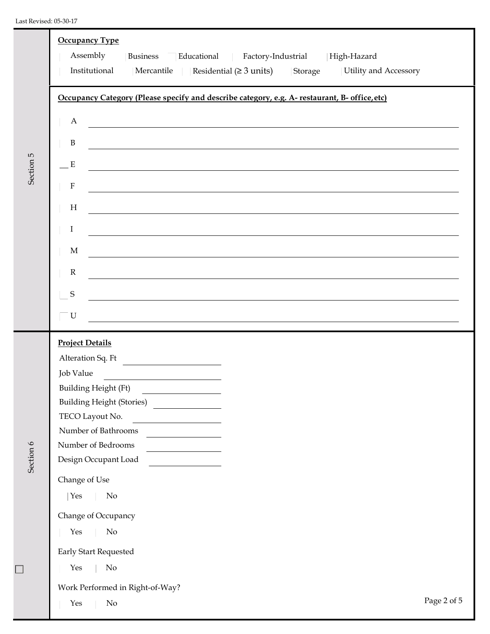## Last Revised: 05-30-17

|              | <b>Occupancy Type</b><br>Assembly<br>Business<br>Educational<br>Factory-Industrial High-Hazard<br>Institutional Mercantile<br>Residential $(≥ 3 units)$ Storage<br><b>Utility and Accessory</b>                                                                                                                                                                                                                                                                                                                                                                                                                                               |             |
|--------------|-----------------------------------------------------------------------------------------------------------------------------------------------------------------------------------------------------------------------------------------------------------------------------------------------------------------------------------------------------------------------------------------------------------------------------------------------------------------------------------------------------------------------------------------------------------------------------------------------------------------------------------------------|-------------|
| S<br>Section | Occupancy Category (Please specify and describe category, e.g. A- restaurant, B- office, etc)<br>A<br><u> 1980 - Johann Stoff, deutscher Stoff, der Stoff, der Stoff, der Stoff, der Stoff, der Stoff, der Stoff, der S</u><br>$\, {\bf B}$<br>${\bf E}$<br>,我们也不会有什么。""我们的人,我们也不会有什么?""我们的人,我们也不会有什么?""我们的人,我们也不会有什么?""我们的人,我们也不会有什么?""我们的人<br>$\mathbf F$<br>$\boldsymbol{\mathrm{H}}$<br>,我们也不能在这里,我们也不能会在这里,我们也不能会在这里,我们也不能会在这里,我们也不能会在这里,我们也不能会在这里,我们也不能会不能会。""我们,我们也不能<br>$\rm I$<br>$\mathbf M$<br><u> 1989 - Johann Stoff, deutscher Stoff, der Stoff, deutscher Stoff, der Stoff, der Stoff, der Stoff, der Stoff, </u><br>${\bf R}$ |             |
|              | $\mathbf S$<br>${\bf U}$<br>,我们也不会有什么。""我们的人,我们也不会有什么?""我们的人,我们也不会有什么?""我们的人,我们也不会有什么?""我们的人,我们也不会有什么?""我们的人                                                                                                                                                                                                                                                                                                                                                                                                                                                                                                                                  |             |
| Section 6    | <b>Project Details</b><br>Alteration Sq. Ft<br>Job Value<br><b>Building Height (Ft)</b><br><b>Building Height (Stories)</b><br>TECO Layout No.<br>Number of Bathrooms<br>Number of Bedrooms<br>Design Occupant Load<br>Change of Use<br>$\rm No$<br>Yes<br>Change of Occupancy<br>$\rm No$<br>Yes<br>Early Start Requested<br>No<br>Yes<br>Work Performed in Right-of-Way?                                                                                                                                                                                                                                                                    |             |
|              | Yes<br>No                                                                                                                                                                                                                                                                                                                                                                                                                                                                                                                                                                                                                                     | Page 2 of 5 |

 $\Box$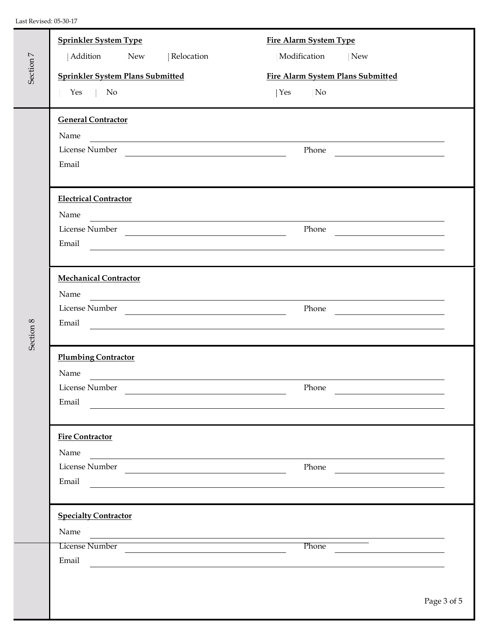| Section 7 | <b>Sprinkler System Type</b><br>Addition New<br>  Relocation<br><b>Sprinkler System Plans Submitted</b><br>Yes<br>No                                                                                                                                                                                                                                               | <b>Fire Alarm System Type</b><br>Modification<br>New<br><b>Fire Alarm System Plans Submitted</b><br>No<br>$\text{Yes}$ |  |
|-----------|--------------------------------------------------------------------------------------------------------------------------------------------------------------------------------------------------------------------------------------------------------------------------------------------------------------------------------------------------------------------|------------------------------------------------------------------------------------------------------------------------|--|
| Section 8 | <b>General Contractor</b><br>Name<br><u> 1980 - Johann Barn, fransk politik (f. 1980)</u><br>License Number<br>Email                                                                                                                                                                                                                                               | Phone<br><u> 1989 - Andrea Andrew Maria III (b. 19</u>                                                                 |  |
|           | <b>Electrical Contractor</b><br>Name<br><u> 1980 - Andrea Andrew Maria (h. 1980).</u><br>License Number<br><u> 1989 - Jan Barbara Barat, martin da basar da basar da basar da basar da basar da basar da basar da basar da b</u><br>Email<br><u> 1989 - Johann Stoff, deutscher Stoff, der Stoff, der Stoff, der Stoff, der Stoff, der Stoff, der Stoff, der S</u> | Phone                                                                                                                  |  |
|           | <b>Mechanical Contractor</b><br>Name<br><u> 1989 - Johann Barn, amerikan besteman besteman besteman besteman besteman besteman besteman besteman bestema</u><br>License Number<br>Email                                                                                                                                                                            | Phone<br><u> 1990 - Johann Barbara, martxa al</u>                                                                      |  |
|           | <b>Plumbing Contractor</b><br>Name<br><u> 1989 - Johann Stoff, deutscher Stoffen und der Stoffen und der Stoffen und der Stoffen und der Stoffen und der</u><br>License Number<br>Email                                                                                                                                                                            | Phone                                                                                                                  |  |
|           | <b>Fire Contractor</b><br>Name<br>License Number<br>Email                                                                                                                                                                                                                                                                                                          | Phone                                                                                                                  |  |
|           | <b>Specialty Contractor</b><br>Name<br>License Number<br>Email<br><u> 1980 - Jan Samuel Barbara, margaret e populari e populari e populari e populari e populari e populari e popu</u>                                                                                                                                                                             | Phone                                                                                                                  |  |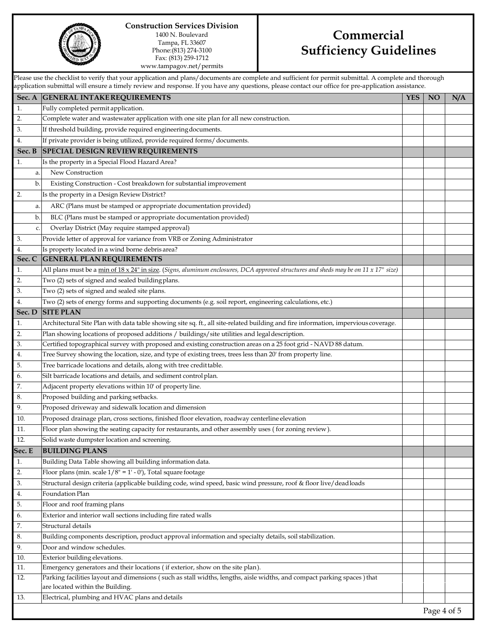

## **Construction Services Division** 1400 N. Boulevard Tampa, FL 33607

Phone:(813) 274-3100 Fax: (813) 259-1712 [www.tampagov.net/permits](http://www.tampagov.net/permits)

# **Commercial Sufficiency Guidelines**

Please use the checklist to verify that your application and plans/documents are complete and sufficient for permit submittal. A complete and thorough application submittal will ensure a timely review and response. If you have any questions, please contact our office for pre-application assistance.

|         | application ouverture will chouse a timely fevrew and response. If you have any questions, prease contact our office for upp         |            |             |     |
|---------|--------------------------------------------------------------------------------------------------------------------------------------|------------|-------------|-----|
|         | Sec. A GENERAL INTAKE REQUIREMENTS                                                                                                   | <b>YES</b> | NO          | N/A |
| 1.      | Fully completed permit application.                                                                                                  |            |             |     |
| 2.      | Complete water and wastewater application with one site plan for all new construction.                                               |            |             |     |
| 3.      | If threshold building, provide required engineering documents.                                                                       |            |             |     |
| 4.      | If private provider is being utilized, provide required forms/documents.                                                             |            |             |     |
| Sec. B  | <b>SPECIAL DESIGN REVIEW REQUIREMENTS</b>                                                                                            |            |             |     |
| 1.      | Is the property in a Special Flood Hazard Area?                                                                                      |            |             |     |
| a.      | New Construction                                                                                                                     |            |             |     |
| b.      | Existing Construction - Cost breakdown for substantial improvement                                                                   |            |             |     |
| 2.      | Is the property in a Design Review District?                                                                                         |            |             |     |
| a.      | ARC (Plans must be stamped or appropriate documentation provided)                                                                    |            |             |     |
| b.      | BLC (Plans must be stamped or appropriate documentation provided)                                                                    |            |             |     |
| c.      | Overlay District (May require stamped approval)                                                                                      |            |             |     |
| 3.      | Provide letter of approval for variance from VRB or Zoning Administrator                                                             |            |             |     |
| 4.      | Is property located in a wind borne debris area?                                                                                     |            |             |     |
| Sec. C  | <b>GENERAL PLAN REQUIREMENTS</b>                                                                                                     |            |             |     |
| 1.      | All plans must be a min of 18 x 24" in size. (Signs, aluminum enclosures, DCA approved structures and sheds may be on 11 x 17" size) |            |             |     |
| 2.      | Two (2) sets of signed and sealed building plans.                                                                                    |            |             |     |
| 3.      | Two (2) sets of signed and sealed site plans.                                                                                        |            |             |     |
| 4.      | Two (2) sets of energy forms and supporting documents (e.g. soil report, engineering calculations, etc.)                             |            |             |     |
| Sec. D  | <b>SITE PLAN</b>                                                                                                                     |            |             |     |
| 1.      | Architectural Site Plan with data table showing site sq. ft., all site-related building and fire information, impervious coverage.   |            |             |     |
| 2.      | Plan showing locations of proposed additions / buildings/site utilities and legal description.                                       |            |             |     |
| 3.      | Certified topographical survey with proposed and existing construction areas on a 25 foot grid - NAVD 88 datum.                      |            |             |     |
| 4.      | Tree Survey showing the location, size, and type of existing trees, trees less than 20' from property line.                          |            |             |     |
| 5.      | Tree barricade locations and details, along with tree credit table.                                                                  |            |             |     |
| 6.      | Silt barricade locations and details, and sediment control plan.                                                                     |            |             |     |
| 7.      | Adjacent property elevations within 10' of property line.                                                                            |            |             |     |
| $8. \,$ | Proposed building and parking setbacks.                                                                                              |            |             |     |
| 9.      | Proposed driveway and sidewalk location and dimension                                                                                |            |             |     |
| 10.     | Proposed drainage plan, cross sections, finished floor elevation, roadway centerline elevation                                       |            |             |     |
| 11.     | Floor plan showing the seating capacity for restaurants, and other assembly uses (for zoning review).                                |            |             |     |
| 12.     | Solid waste dumpster location and screening.                                                                                         |            |             |     |
| Sec. E  | <b>BUILDING PLANS</b>                                                                                                                |            |             |     |
| 1.      | Building Data Table showing all building information data.                                                                           |            |             |     |
| 2.      | Floor plans (min. scale $1/8$ " = 1' - 0'), Total square footage                                                                     |            |             |     |
| 3.      | Structural design criteria (applicable building code, wind speed, basic wind pressure, roof & floor live/deadloads                   |            |             |     |
| 4.      | Foundation Plan                                                                                                                      |            |             |     |
| 5.      | Floor and roof framing plans                                                                                                         |            |             |     |
| 6.      | Exterior and interior wall sections including fire rated walls                                                                       |            |             |     |
| 7.      | Structural details                                                                                                                   |            |             |     |
| 8.      | Building components description, product approval information and specialty details, soil stabilization.                             |            |             |     |
| 9.      | Door and window schedules.                                                                                                           |            |             |     |
| 10.     | Exterior building elevations.                                                                                                        |            |             |     |
| 11.     | Emergency generators and their locations (if exterior, show on the site plan).                                                       |            |             |     |
| 12.     | Parking facilities layout and dimensions (such as stall widths, lengths, aisle widths, and compact parking spaces) that              |            |             |     |
|         | are located within the Building.                                                                                                     |            |             |     |
| 13.     | Electrical, plumbing and HVAC plans and details                                                                                      |            |             |     |
|         |                                                                                                                                      |            | Page 4 of 5 |     |